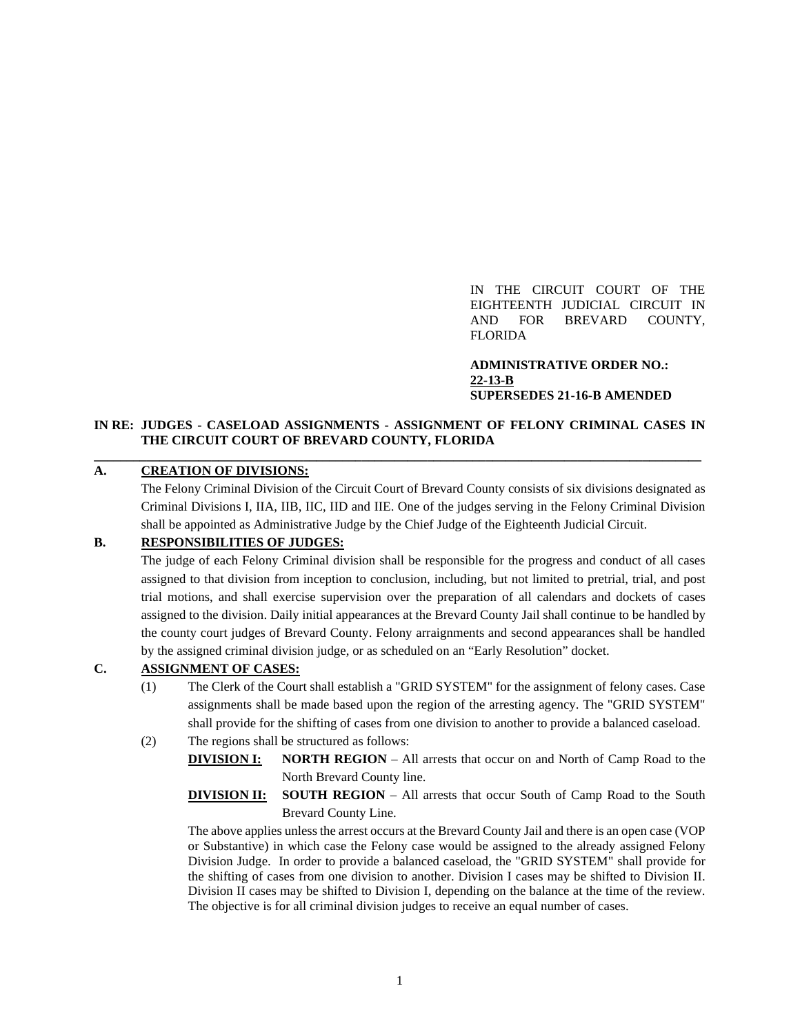IN THE CIRCUIT COURT OF THE EIGHTEENTH JUDICIAL CIRCUIT IN AND FOR BREVARD COUNTY, FLORIDA

**ADMINISTRATIVE ORDER NO.: 22-13-B SUPERSEDES 21-16-B AMENDED**

### **IN RE: JUDGES - CASELOAD ASSIGNMENTS - ASSIGNMENT OF FELONY CRIMINAL CASES IN THE CIRCUIT COURT OF BREVARD COUNTY, FLORIDA \_\_\_\_\_\_\_\_\_\_\_\_\_\_\_\_\_\_\_\_\_\_\_\_\_\_\_\_\_\_\_\_\_\_\_\_\_\_\_\_\_\_\_\_\_\_\_\_\_\_\_\_\_\_\_\_\_\_\_\_\_\_\_\_\_\_\_\_\_\_\_\_\_\_\_\_\_\_\_\_\_\_\_\_\_\_\_\_\_\_\_\_\_**

### **A. CREATION OF DIVISIONS:**

The Felony Criminal Division of the Circuit Court of Brevard County consists of six divisions designated as Criminal Divisions I, IIA, IIB, IIC, IID and IIE. One of the judges serving in the Felony Criminal Division shall be appointed as Administrative Judge by the Chief Judge of the Eighteenth Judicial Circuit.

# **B. RESPONSIBILITIES OF JUDGES:**

The judge of each Felony Criminal division shall be responsible for the progress and conduct of all cases assigned to that division from inception to conclusion, including, but not limited to pretrial, trial, and post trial motions, and shall exercise supervision over the preparation of all calendars and dockets of cases assigned to the division. Daily initial appearances at the Brevard County Jail shall continue to be handled by the county court judges of Brevard County. Felony arraignments and second appearances shall be handled by the assigned criminal division judge, or as scheduled on an "Early Resolution" docket.

### **C. ASSIGNMENT OF CASES:**

- (1) The Clerk of the Court shall establish a "GRID SYSTEM" for the assignment of felony cases. Case assignments shall be made based upon the region of the arresting agency. The "GRID SYSTEM" shall provide for the shifting of cases from one division to another to provide a balanced caseload.
- (2) The regions shall be structured as follows:
	- **DIVISION I: NORTH REGION** All arrests that occur on and North of Camp Road to the North Brevard County line.
	- **DIVISION II: SOUTH REGION** All arrests that occur South of Camp Road to the South Brevard County Line.

The above applies unless the arrest occurs at the Brevard County Jail and there is an open case (VOP or Substantive) in which case the Felony case would be assigned to the already assigned Felony Division Judge. In order to provide a balanced caseload, the "GRID SYSTEM" shall provide for the shifting of cases from one division to another. Division I cases may be shifted to Division II. Division II cases may be shifted to Division I, depending on the balance at the time of the review. The objective is for all criminal division judges to receive an equal number of cases.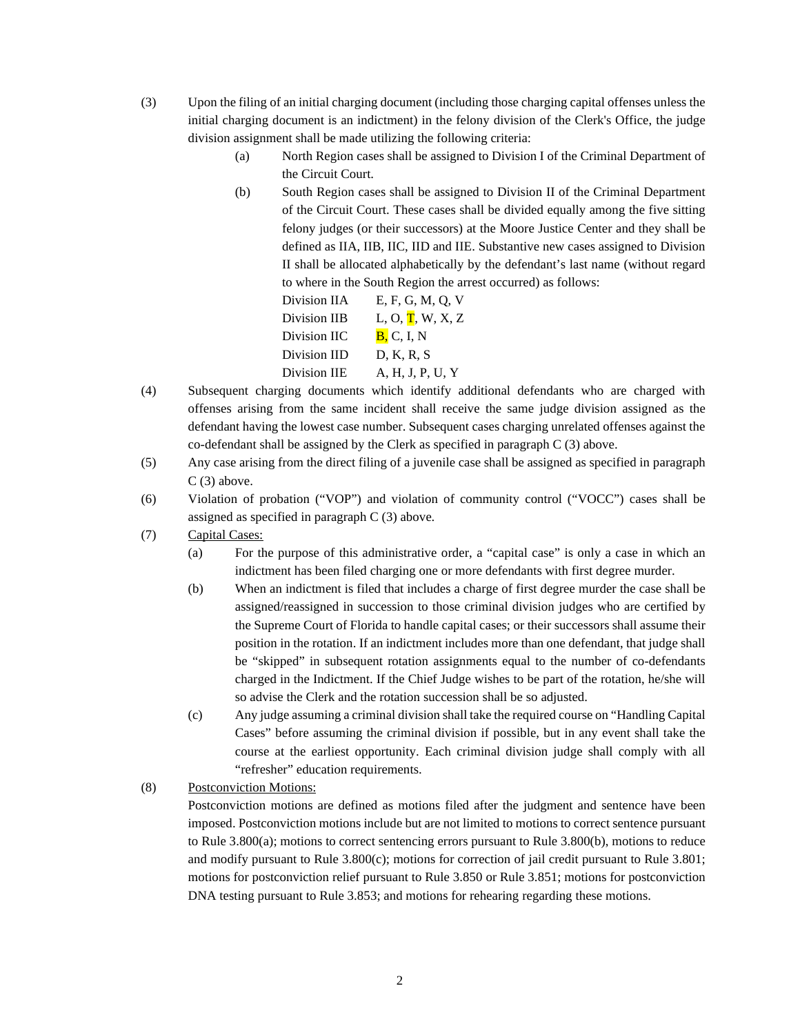- (3) Upon the filing of an initial charging document (including those charging capital offenses unless the initial charging document is an indictment) in the felony division of the Clerk's Office, the judge division assignment shall be made utilizing the following criteria:
	- (a) North Region cases shall be assigned to Division I of the Criminal Department of the Circuit Court.
	- (b) South Region cases shall be assigned to Division II of the Criminal Department of the Circuit Court. These cases shall be divided equally among the five sitting felony judges (or their successors) at the Moore Justice Center and they shall be defined as IIA, IIB, IIC, IID and IIE. Substantive new cases assigned to Division II shall be allocated alphabetically by the defendant's last name (without regard to where in the South Region the arrest occurred) as follows:

| Division IIA | E, F, G, M, Q, V                        |
|--------------|-----------------------------------------|
| Division IIB | L, O, $\overline{\mathbf{T}}$ , W, X, Z |
| Division IIC | B, C, I, N                              |
| Division IID | D. K. R. S                              |
| Division IIE | A, H, J, P, U, Y                        |

- (4) Subsequent charging documents which identify additional defendants who are charged with offenses arising from the same incident shall receive the same judge division assigned as the defendant having the lowest case number. Subsequent cases charging unrelated offenses against the co-defendant shall be assigned by the Clerk as specified in paragraph C (3) above.
- (5) Any case arising from the direct filing of a juvenile case shall be assigned as specified in paragraph C (3) above.
- (6) Violation of probation ("VOP") and violation of community control ("VOCC") cases shall be assigned as specified in paragraph C (3) above.
- (7) Capital Cases:
	- (a) For the purpose of this administrative order, a "capital case" is only a case in which an indictment has been filed charging one or more defendants with first degree murder.
	- (b) When an indictment is filed that includes a charge of first degree murder the case shall be assigned/reassigned in succession to those criminal division judges who are certified by the Supreme Court of Florida to handle capital cases; or their successors shall assume their position in the rotation. If an indictment includes more than one defendant, that judge shall be "skipped" in subsequent rotation assignments equal to the number of co-defendants charged in the Indictment. If the Chief Judge wishes to be part of the rotation, he/she will so advise the Clerk and the rotation succession shall be so adjusted.
	- (c) Any judge assuming a criminal division shall take the required course on "Handling Capital Cases" before assuming the criminal division if possible, but in any event shall take the course at the earliest opportunity. Each criminal division judge shall comply with all "refresher" education requirements.
- (8) Postconviction Motions:

Postconviction motions are defined as motions filed after the judgment and sentence have been imposed. Postconviction motions include but are not limited to motions to correct sentence pursuant to Rule 3.800(a); motions to correct sentencing errors pursuant to Rule 3.800(b), motions to reduce and modify pursuant to Rule 3.800(c); motions for correction of jail credit pursuant to Rule 3.801; motions for postconviction relief pursuant to Rule 3.850 or Rule 3.851; motions for postconviction DNA testing pursuant to Rule 3.853; and motions for rehearing regarding these motions.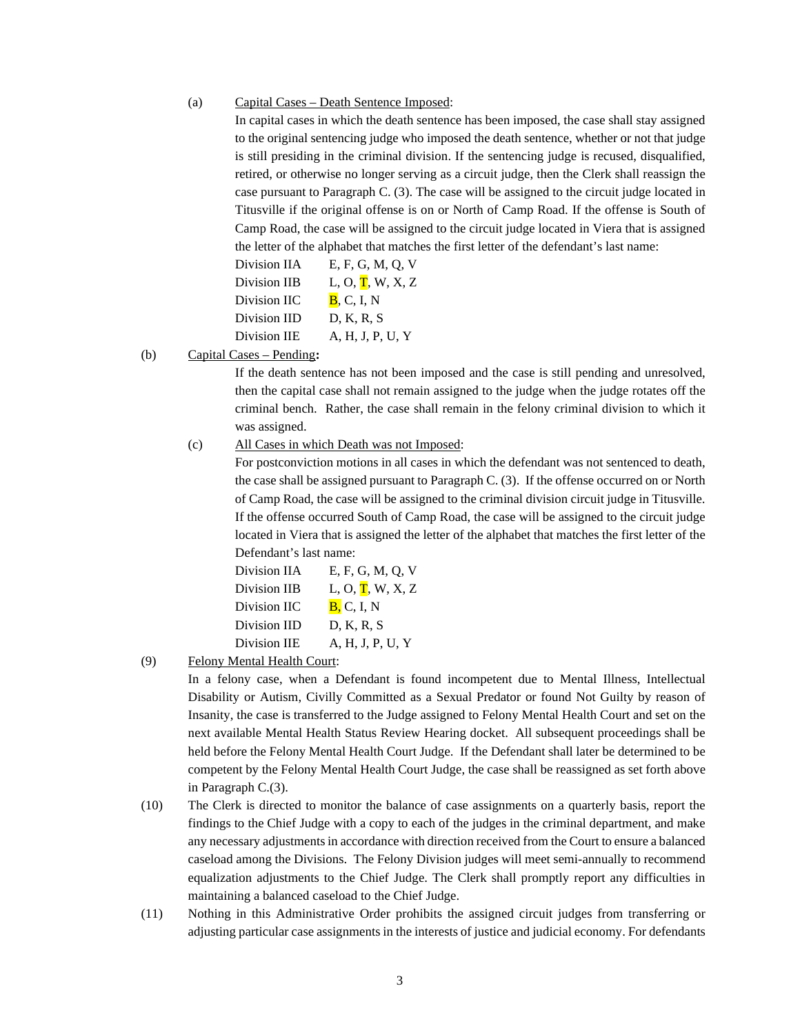In capital cases in which the death sentence has been imposed, the case shall stay assigned to the original sentencing judge who imposed the death sentence, whether or not that judge is still presiding in the criminal division. If the sentencing judge is recused, disqualified, retired, or otherwise no longer serving as a circuit judge, then the Clerk shall reassign the case pursuant to Paragraph C. (3). The case will be assigned to the circuit judge located in Titusville if the original offense is on or North of Camp Road. If the offense is South of Camp Road, the case will be assigned to the circuit judge located in Viera that is assigned the letter of the alphabet that matches the first letter of the defendant's last name:

| Division IIA | E, F, G, M, Q, V                        |
|--------------|-----------------------------------------|
| Division IIB | L, O, $\overline{\mathbf{T}}$ , W, X, Z |
| Division IIC | B, C, I, N                              |
| Division IID | D, K, R, S                              |
| Division IIE | A, H, J, P, U, Y                        |

(b) Capital Cases – Pending**:**

If the death sentence has not been imposed and the case is still pending and unresolved, then the capital case shall not remain assigned to the judge when the judge rotates off the criminal bench. Rather, the case shall remain in the felony criminal division to which it was assigned.

(c) All Cases in which Death was not Imposed:

For postconviction motions in all cases in which the defendant was not sentenced to death, the case shall be assigned pursuant to Paragraph C. (3). If the offense occurred on or North of Camp Road, the case will be assigned to the criminal division circuit judge in Titusville. If the offense occurred South of Camp Road, the case will be assigned to the circuit judge located in Viera that is assigned the letter of the alphabet that matches the first letter of the Defendant's last name:

| Division IIA | E, F, G, M, Q, V                        |
|--------------|-----------------------------------------|
| Division IIB | L, O, $\overline{\mathbf{T}}$ , W, X, Z |
| Division IIC | B, C, I, N                              |
| Division IID | D, K, R, S                              |
| Division IIE | A, H, J, P, U, Y                        |

(9) Felony Mental Health Court:

In a felony case, when a Defendant is found incompetent due to Mental Illness, Intellectual Disability or Autism, Civilly Committed as a Sexual Predator or found Not Guilty by reason of Insanity, the case is transferred to the Judge assigned to Felony Mental Health Court and set on the next available Mental Health Status Review Hearing docket. All subsequent proceedings shall be held before the Felony Mental Health Court Judge. If the Defendant shall later be determined to be competent by the Felony Mental Health Court Judge, the case shall be reassigned as set forth above in Paragraph C.(3).

- (10) The Clerk is directed to monitor the balance of case assignments on a quarterly basis, report the findings to the Chief Judge with a copy to each of the judges in the criminal department, and make any necessary adjustments in accordance with direction received from the Court to ensure a balanced caseload among the Divisions. The Felony Division judges will meet semi-annually to recommend equalization adjustments to the Chief Judge. The Clerk shall promptly report any difficulties in maintaining a balanced caseload to the Chief Judge.
- (11) Nothing in this Administrative Order prohibits the assigned circuit judges from transferring or adjusting particular case assignments in the interests of justice and judicial economy. For defendants

<sup>(</sup>a) Capital Cases – Death Sentence Imposed: